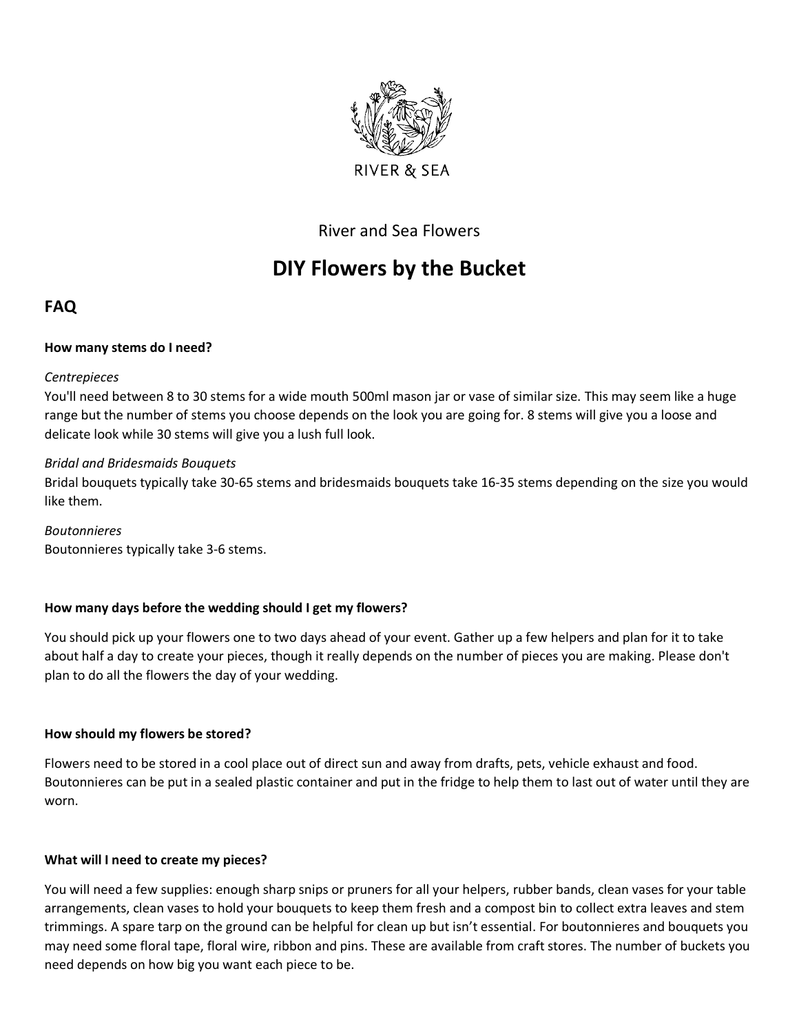

# River and Sea Flowers

# **DIY Flowers by the Bucket**

# **FAQ**

## **How many stems do I need?**

#### *Centrepieces*

You'll need between 8 to 30 stems for a wide mouth 500ml mason jar or vase of similar size. This may seem like a huge range but the number of stems you choose depends on the look you are going for. 8 stems will give you a loose and delicate look while 30 stems will give you a lush full look.

#### *Bridal and Bridesmaids Bouquets*

Bridal bouquets typically take 30-65 stems and bridesmaids bouquets take 16-35 stems depending on the size you would like them.

*Boutonnieres* Boutonnieres typically take 3-6 stems.

## **How many days before the wedding should I get my flowers?**

You should pick up your flowers one to two days ahead of your event. Gather up a few helpers and plan for it to take about half a day to create your pieces, though it really depends on the number of pieces you are making. Please don't plan to do all the flowers the day of your wedding.

#### **How should my flowers be stored?**

Flowers need to be stored in a cool place out of direct sun and away from drafts, pets, vehicle exhaust and food. Boutonnieres can be put in a sealed plastic container and put in the fridge to help them to last out of water until they are worn.

## **What will I need to create my pieces?**

You will need a few supplies: enough sharp snips or pruners for all your helpers, rubber bands, clean vases for your table arrangements, clean vases to hold your bouquets to keep them fresh and a compost bin to collect extra leaves and stem trimmings. A spare tarp on the ground can be helpful for clean up but isn't essential. For boutonnieres and bouquets you may need some floral tape, floral wire, ribbon and pins. These are available from craft stores. The number of buckets you need depends on how big you want each piece to be.